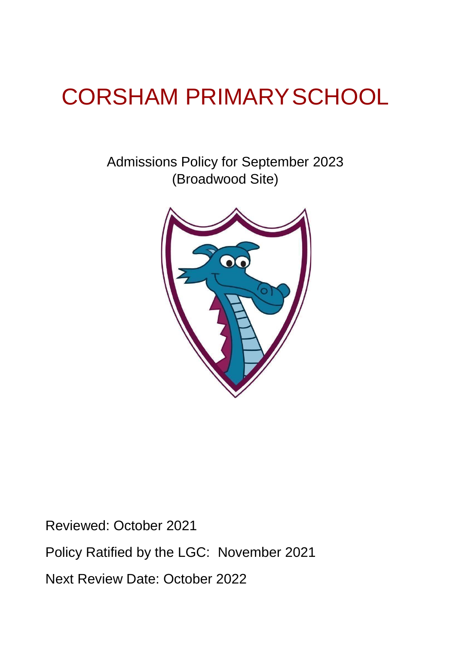# CORSHAM PRIMARYSCHOOL

Admissions Policy for September 2023 (Broadwood Site)



Reviewed: October 2021

Policy Ratified by the LGC: November 2021

Next Review Date: October 2022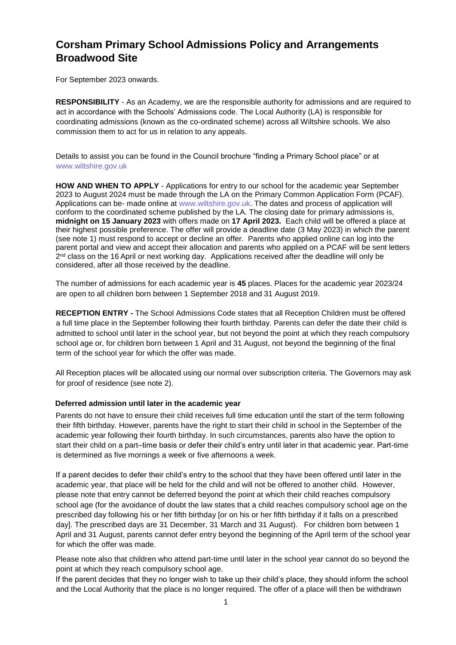# **Corsham Primary School Admissions Policy and Arrangements Broadwood Site**

For September 2023 onwards.

**RESPONSIBILITY** - As an Academy, we are the responsible authority for admissions and are required to act in accordance with the Schools' Admissions code. The Local Authority (LA) is responsible for coordinating admissions (known as the co-ordinated scheme) across all Wiltshire schools. We also commission them to act for us in relation to any appeals.

Details to assist you can be found in the Council brochure "finding a Primary School place" or at [www.wiltshire.gov.uk](http://www.wiltshire.gov.uk/) 

**HOW AND WHEN TO APPLY** - Applications for entry to our school for the academic year September 2023 to August 2024 must be made through the LA on the Primary Common Application Form (PCAF). Applications can be- made online at [www.wiltshire.gov.uk.](http://www.wiltshire.gov.uk/) [Th](http://www.wiltshire.gov.uk/)e dates and process of application will conform to the coordinated scheme published by the LA. The closing date for primary admissions is, **midnight on 15 January 2023** with offers made on **17 April 2023.** Each child will be offered a place at their highest possible preference. The offer will provide a deadline date (3 May 2023) in which the parent (see note 1) must respond to accept or decline an offer. Parents who applied online can log into the parent portal and view and accept their allocation and parents who applied on a PCAF will be sent letters 2<sup>nd</sup> class on the 16 April or next working day. Applications received after the deadline will only be considered, after all those received by the deadline.

The number of admissions for each academic year is **45** places. Places for the academic year 2023/24 are open to all children born between 1 September 2018 and 31 August 2019.

**RECEPTION ENTRY -** The School Admissions Code states that all Reception Children must be offered a full time place in the September following their fourth birthday. Parents can defer the date their child is admitted to school until later in the school year, but not beyond the point at which they reach compulsory school age or, for children born between 1 April and 31 August, not beyond the beginning of the final term of the school year for which the offer was made.

All Reception places will be allocated using our normal over subscription criteria. The Governors may ask for proof of residence (see note 2).

# **Deferred admission until later in the academic year**

Parents do not have to ensure their child receives full time education until the start of the term following their fifth birthday. However, parents have the right to start their child in school in the September of the academic year following their fourth birthday. In such circumstances, parents also have the option to start their child on a part–time basis or defer their child's entry until later in that academic year. Part-time is determined as five mornings a week or five afternoons a week.

If a parent decides to defer their child's entry to the school that they have been offered until later in the academic year, that place will be held for the child and will not be offered to another child. However, please note that entry cannot be deferred beyond the point at which their child reaches compulsory school age (for the avoidance of doubt the law states that a child reaches compulsory school age on the prescribed day following his or her fifth birthday [or on his or her fifth birthday if it falls on a prescribed day]. The prescribed days are 31 December, 31 March and 31 August). For children born between 1 April and 31 August, parents cannot defer entry beyond the beginning of the April term of the school year for which the offer was made.

Please note also that children who attend part-time until later in the school year cannot do so beyond the point at which they reach compulsory school age.

If the parent decides that they no longer wish to take up their child's place, they should inform the school and the Local Authority that the place is no longer required. The offer of a place will then be withdrawn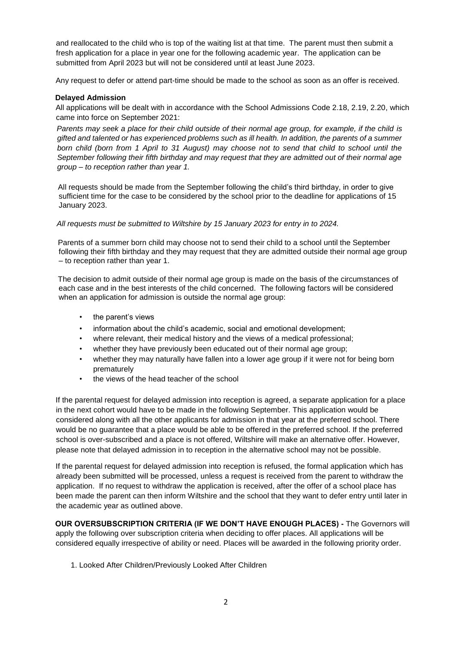and reallocated to the child who is top of the waiting list at that time. The parent must then submit a fresh application for a place in year one for the following academic year. The application can be submitted from April 2023 but will not be considered until at least June 2023.

Any request to defer or attend part-time should be made to the school as soon as an offer is received.

#### **Delayed Admission**

All applications will be dealt with in accordance with the School Admissions Code 2.18, 2.19, 2.20, which came into force on September 2021:

*Parents may seek a place for their child outside of their normal age group, for example, if the child is gifted and talented or has experienced problems such as ill health. In addition, the parents of a summer born child (born from 1 April to 31 August) may choose not to send that child to school until the September following their fifth birthday and may request that they are admitted out of their normal age group – to reception rather than year 1.* 

All requests should be made from the September following the child's third birthday, in order to give sufficient time for the case to be considered by the school prior to the deadline for applications of 15 January 2023.

#### *All requests must be submitted to Wiltshire by 15 January 2023 for entry in to 2024.*

Parents of a summer born child may choose not to send their child to a school until the September following their fifth birthday and they may request that they are admitted outside their normal age group – to reception rather than year 1.

The decision to admit outside of their normal age group is made on the basis of the circumstances of each case and in the best interests of the child concerned. The following factors will be considered when an application for admission is outside the normal age group:

- the parent's views
- information about the child's academic, social and emotional development;
- where relevant, their medical history and the views of a medical professional;
- whether they have previously been educated out of their normal age group;
- whether they may naturally have fallen into a lower age group if it were not for being born prematurely
- the views of the head teacher of the school

If the parental request for delayed admission into reception is agreed, a separate application for a place in the next cohort would have to be made in the following September. This application would be considered along with all the other applicants for admission in that year at the preferred school. There would be no guarantee that a place would be able to be offered in the preferred school. If the preferred school is over-subscribed and a place is not offered, Wiltshire will make an alternative offer. However, please note that delayed admission in to reception in the alternative school may not be possible.

If the parental request for delayed admission into reception is refused, the formal application which has already been submitted will be processed, unless a request is received from the parent to withdraw the application. If no request to withdraw the application is received, after the offer of a school place has been made the parent can then inform Wiltshire and the school that they want to defer entry until later in the academic year as outlined above.

**OUR OVERSUBSCRIPTION CRITERIA (IF WE DON'T HAVE ENOUGH PLACES) -** The Governors will apply the following over subscription criteria when deciding to offer places. All applications will be considered equally irrespective of ability or need. Places will be awarded in the following priority order.

1. Looked After Children/Previously Looked After Children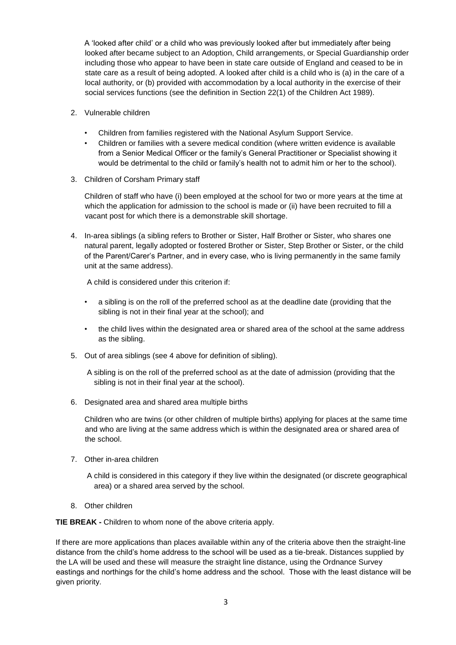A 'looked after child' or a child who was previously looked after but immediately after being looked after became subject to an Adoption, Child arrangements, or Special Guardianship order including those who appear to have been in state care outside of England and ceased to be in state care as a result of being adopted. A looked after child is a child who is (a) in the care of a local authority, or (b) provided with accommodation by a local authority in the exercise of their social services functions (see the definition in Section 22(1) of the Children Act 1989).

- 2. Vulnerable children
	- Children from families registered with the National Asylum Support Service.
	- Children or families with a severe medical condition (where written evidence is available from a Senior Medical Officer or the family's General Practitioner or Specialist showing it would be detrimental to the child or family's health not to admit him or her to the school).
- 3. Children of Corsham Primary staff

Children of staff who have (i) been employed at the school for two or more years at the time at which the application for admission to the school is made or (ii) have been recruited to fill a vacant post for which there is a demonstrable skill shortage.

4. In-area siblings (a sibling refers to Brother or Sister, Half Brother or Sister, who shares one natural parent, legally adopted or fostered Brother or Sister, Step Brother or Sister, or the child of the Parent/Carer's Partner, and in every case, who is living permanently in the same family unit at the same address).

A child is considered under this criterion if:

- a sibling is on the roll of the preferred school as at the deadline date (providing that the sibling is not in their final year at the school); and
- the child lives within the designated area or shared area of the school at the same address as the sibling.
- 5. Out of area siblings (see 4 above for definition of sibling).

A sibling is on the roll of the preferred school as at the date of admission (providing that the sibling is not in their final year at the school).

6. Designated area and shared area multiple births

Children who are twins (or other children of multiple births) applying for places at the same time and who are living at the same address which is within the designated area or shared area of the school.

- 7. Other in-area children
	- A child is considered in this category if they live within the designated (or discrete geographical area) or a shared area served by the school.
- 8. Other children

**TIE BREAK -** Children to whom none of the above criteria apply.

If there are more applications than places available within any of the criteria above then the straight-line distance from the child's home address to the school will be used as a tie-break. Distances supplied by the LA will be used and these will measure the straight line distance, using the Ordnance Survey eastings and northings for the child's home address and the school. Those with the least distance will be given priority.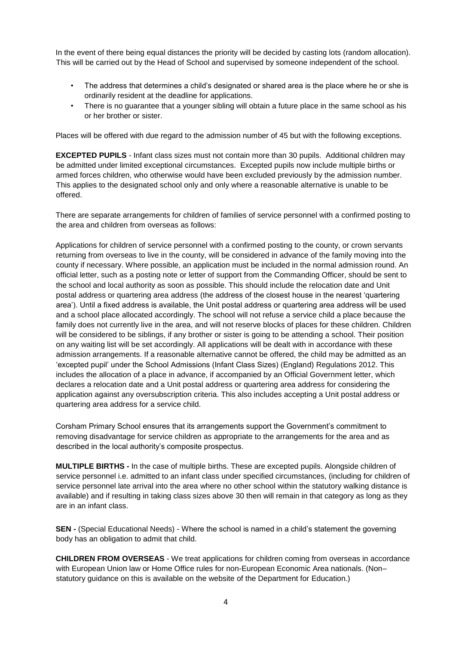In the event of there being equal distances the priority will be decided by casting lots (random allocation). This will be carried out by the Head of School and supervised by someone independent of the school.

- The address that determines a child's designated or shared area is the place where he or she is ordinarily resident at the deadline for applications.
- There is no guarantee that a younger sibling will obtain a future place in the same school as his or her brother or sister.

Places will be offered with due regard to the admission number of 45 but with the following exceptions.

**EXCEPTED PUPILS** - Infant class sizes must not contain more than 30 pupils. Additional children may be admitted under limited exceptional circumstances. Excepted pupils now include multiple births or armed forces children, who otherwise would have been excluded previously by the admission number. This applies to the designated school only and only where a reasonable alternative is unable to be offered.

There are separate arrangements for children of families of service personnel with a confirmed posting to the area and children from overseas as follows:

Applications for children of service personnel with a confirmed posting to the county, or crown servants returning from overseas to live in the county, will be considered in advance of the family moving into the county if necessary. Where possible, an application must be included in the normal admission round. An official letter, such as a posting note or letter of support from the Commanding Officer, should be sent to the school and local authority as soon as possible. This should include the relocation date and Unit postal address or quartering area address (the address of the closest house in the nearest 'quartering area'). Until a fixed address is available, the Unit postal address or quartering area address will be used and a school place allocated accordingly. The school will not refuse a service child a place because the family does not currently live in the area, and will not reserve blocks of places for these children. Children will be considered to be siblings, if any brother or sister is going to be attending a school. Their position on any waiting list will be set accordingly. All applications will be dealt with in accordance with these admission arrangements. If a reasonable alternative cannot be offered, the child may be admitted as an 'excepted pupil' under the School Admissions (Infant Class Sizes) (England) Regulations 2012. This includes the allocation of a place in advance, if accompanied by an Official Government letter, which declares a relocation date and a Unit postal address or quartering area address for considering the application against any oversubscription criteria. This also includes accepting a Unit postal address or quartering area address for a service child.

Corsham Primary School ensures that its arrangements support the Government's commitment to removing disadvantage for service children as appropriate to the arrangements for the area and as described in the local authority's composite prospectus.

**MULTIPLE BIRTHS -** In the case of multiple births. These are excepted pupils. Alongside children of service personnel i.e. admitted to an infant class under specified circumstances, (including for children of service personnel late arrival into the area where no other school within the statutory walking distance is available) and if resulting in taking class sizes above 30 then will remain in that category as long as they are in an infant class.

**SEN -** (Special Educational Needs) - Where the school is named in a child's statement the governing body has an obligation to admit that child.

**CHILDREN FROM OVERSEAS** - We treat applications for children coming from overseas in accordance with European Union law or Home Office rules for non-European Economic Area nationals. (Non– statutory guidance on this is available on the website of the Department for Education.)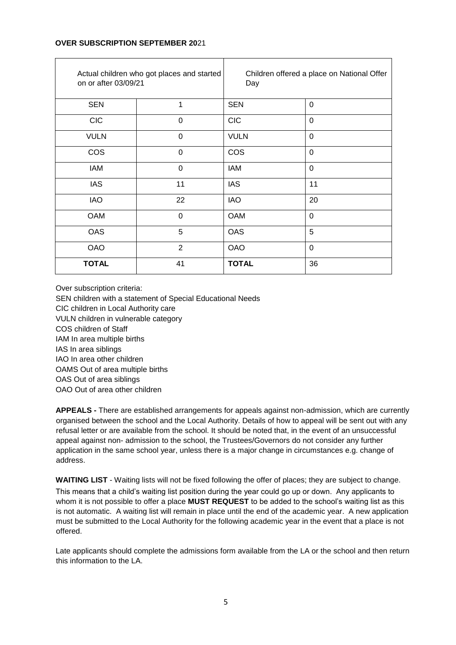# **OVER SUBSCRIPTION SEPTEMBER 20**21

| Actual children who got places and started<br>on or after 03/09/21 |                | Children offered a place on National Offer<br>Day |             |
|--------------------------------------------------------------------|----------------|---------------------------------------------------|-------------|
| <b>SEN</b>                                                         | 1              | <b>SEN</b>                                        | $\Omega$    |
| <b>CIC</b>                                                         | $\overline{0}$ | <b>CIC</b>                                        | $\mathbf 0$ |
| <b>VULN</b>                                                        | $\Omega$       | <b>VULN</b>                                       | $\mathbf 0$ |
| <b>COS</b>                                                         | $\overline{0}$ | <b>COS</b>                                        | $\mathbf 0$ |
| <b>IAM</b>                                                         | $\mathbf 0$    | <b>IAM</b>                                        | $\mathbf 0$ |
| <b>IAS</b>                                                         | 11             | <b>IAS</b>                                        | 11          |
| <b>IAO</b>                                                         | 22             | <b>IAO</b>                                        | 20          |
| <b>OAM</b>                                                         | $\Omega$       | <b>OAM</b>                                        | $\Omega$    |
| <b>OAS</b>                                                         | 5              | <b>OAS</b>                                        | 5           |
| <b>OAO</b>                                                         | $\overline{2}$ | <b>OAO</b>                                        | $\Omega$    |
| <b>TOTAL</b>                                                       | 41             | <b>TOTAL</b>                                      | 36          |

Over subscription criteria:

SEN children with a statement of Special Educational Needs CIC children in Local Authority care VULN children in vulnerable category COS children of Staff IAM In area multiple births IAS In area siblings IAO In area other children OAMS Out of area multiple births OAS Out of area siblings OAO Out of area other children

**APPEALS -** There are established arrangements for appeals against non-admission, which are currently organised between the school and the Local Authority. Details of how to appeal will be sent out with any refusal letter or are available from the school. It should be noted that, in the event of an unsuccessful appeal against non- admission to the school, the Trustees/Governors do not consider any further application in the same school year, unless there is a major change in circumstances e.g. change of address.

**WAITING LIST** - Waiting lists will not be fixed following the offer of places; they are subject to change. This means that a child's waiting list position during the year could go up or down. Any applicants to whom it is not possible to offer a place **MUST REQUEST** to be added to the school's waiting list as this is not automatic. A waiting list will remain in place until the end of the academic year. A new application must be submitted to the Local Authority for the following academic year in the event that a place is not offered.

Late applicants should complete the admissions form available from the LA or the school and then return this information to the LA.